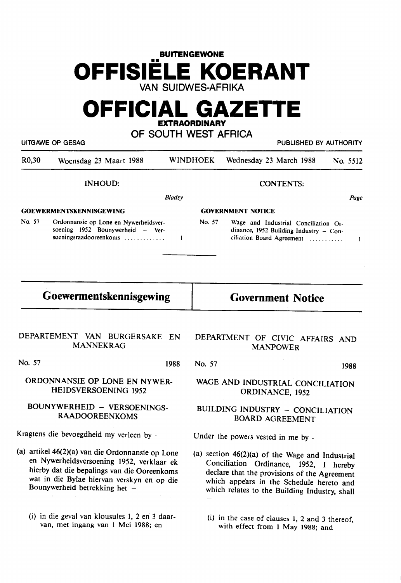# **BUITENGEWONE OFFISIELE KOERANT VAN SUIDWES-AFRIKA**

# **OFFICIAL GAZETTE EXTRAORDINARY**

| OF SOUTH WEST AFRICA<br><b>UITGAWE OP GESAG</b><br>PUBLISHED BY AUTHORITY |                                                                                                     |                                                     |                          |                                                                                                             |  |          |
|---------------------------------------------------------------------------|-----------------------------------------------------------------------------------------------------|-----------------------------------------------------|--------------------------|-------------------------------------------------------------------------------------------------------------|--|----------|
| R <sub>0</sub> ,30                                                        | Woensdag 23 Maart 1988                                                                              |                                                     | <b>WINDHOEK</b>          | Wednesday 23 March 1988                                                                                     |  | No. 5512 |
|                                                                           | <b>INHOUD:</b>                                                                                      |                                                     |                          | <b>CONTENTS:</b>                                                                                            |  |          |
|                                                                           |                                                                                                     | <b>Bladsy</b>                                       |                          |                                                                                                             |  | Page     |
| <b>GOEWERMENTSKENNISGEWING</b>                                            |                                                                                                     |                                                     | <b>GOVERNMENT NOTICE</b> |                                                                                                             |  |          |
| No. 57                                                                    | Ordonnansie op Lone en Nywerheidsver-<br>soening 1952 Bounywerheid - Ver-<br>soeningsraadooreenkoms | 1                                                   | No. 57                   | Wage and Industrial Conciliation Or-<br>dinance, 1952 Building Industry - Con-<br>ciliation Board Agreement |  | 1        |
| Goewermentskennisgewing                                                   |                                                                                                     |                                                     | <b>Government Notice</b> |                                                                                                             |  |          |
|                                                                           | DEPARTEMENT VAN BURGERSAKE<br><b>MANNEKRAG</b>                                                      | EN                                                  |                          | DEPARTMENT OF CIVIC AFFAIRS AND<br><b>MANPOWER</b>                                                          |  |          |
| No. 57                                                                    |                                                                                                     | 1988                                                | No. 57                   |                                                                                                             |  | 1988     |
| ORDONNANSIE OP LONE EN NYWER-<br>HEIDSVERSOENING 1952                     |                                                                                                     | WAGE AND INDUSTRIAL CONCILIATION<br>ORDINANCE, 1952 |                          |                                                                                                             |  |          |
| BOUNYWERHEID - VERSOENINGS-                                               |                                                                                                     | BUILDING INDUSTRY - CONCILIATION                    |                          |                                                                                                             |  |          |

RAADOOREENKOMS

Kragtens die bevoegdheid my verleen by -

- (a) artikel 46(2)(a) van die Ordonnansie op Lone en Nywerheidsversoening 1952, verklaar ek hierby dat die bepalings van die Ooreenkoms wat in die Bylae hiervan verskyn en op die Bounywerheid **betrekking** bet -
	- (i) in die geval van klousules 1, 2 en 3 daarvan, met ingang van 1 Mei 1988; en

**BOARD** AGREEMENT

Under the powers vested in me by -

- (a) section 46(2)(a) of the Wage and Industrial Conciliation Ordinance, 1952, I hereby declare that the provisions of the Agreement which appears in the Schedule hereto and which relates to the Building Industry, shall
	- (i) in the case of clauses I, 2 and 3 thereof, with effect from I May 1988; and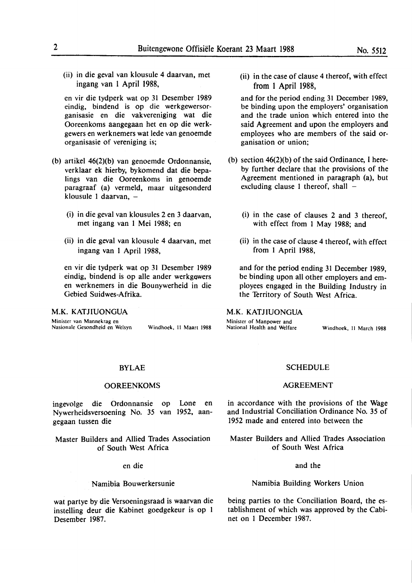(ii) in die geval van klousule 4 daarvan, met ingang van l April 1988,

en vir die tydperk wat op 31 Desember 1989 eindig, bindend is op die werkgewersorganisasie en die vakvereniging wat die Ooreenkoms aangegaan het en op die werkgewers en werknemers wat lede van genoemde organisasie of vereniging is;

- (b) artikel 46(2)(b) van genoemde Ordonnansie, verklaar ek hierby, bykomend dat die bepalings van die Ooreenkoms in genoemde paragraaf (a) vermeld, maar uitgesonderd klousule 1 daarvan,  $-$ 
	- (i) in die geval van klousules 2 en 3 daarvan, met ingang van I Mei 1988; en
	- (ii) in die geval van klousule 4 daarvan, met ingang van 1 April 1988,

en vir die tydperk wat op 31 Desember 1989 eindig, bindend is op alle ander werkgewers en werknemers in die Bounywerheid in die Gebied Suidwes-Afrika.

## **M.K. KATJIUONGUA**

Minister van Mannekrag en Nasionale Gesondheid en Welsyn Windhoek, 11 Maart 1988

(ii) in the case of clause 4 thereof, with effect from 1 April 1988,

and for the period ending 31 December 1989, be binding upon the employers' organisation and the trade union which entered into the said Agreement and upon the employers and employees who are members of the said organisation or union;

- (b) section 46(2)(b) of the said Ordinance, I hereby further declare that the provisions of the Agreement mentioned in paragraph (a), but excluding clause 1 thereof, shall  $-$ 
	- (i) in the case of clauses 2 and 3 thereof, with effect from I May 1988; and
	- (ii) in the case of clause 4 thereof, with effect from I April 1988,

and for the period ending 31 December 1989, be binding upon all other employers and employees engaged in the Building Industry in the Territory of South West Africa.

**M.K.** KATJIUONGUA

Minister of Manpower and<br>National Health and Welfare

Windhoek, 11 March 1988

# BYLAE

## **OOREENKOMS**

ingevolge die Ordonnansie op Lone en Nywerheidsversoening No. 35 van **1952,** aangegaan tussen die

Master Builders and Allied Trades Association of South West Africa

en die

## Namibia Bouwerkersunie

wat partye by die Versoeningsraad is waarvan die instelling deur die Kabinet goedgekeur is op I Desember 1987.

#### **SCHEDULE**

## **AGREEMENT**

in accordance with the provisions of the Wage and Industrial Conciliation Ordinance No. 35 of 1952 made and entered into between the

Master Builders and Allied Trades Association of South West Africa

## and the

# Namibia Building Workers Union

being parties to the Conciliation Board, the establishment of which was approved by the Cabinet on I December 1987.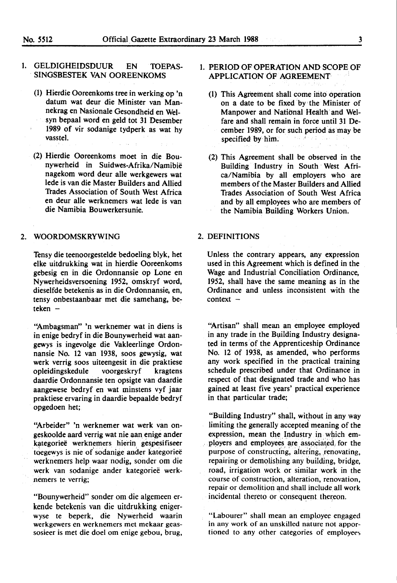# 1. GELDIGHEIDSDUUR EN TOEPAS-SINGSBESTEK VAN OOREENKOMS

- (1) Hierdie Ooreenkorns tree in werking op 'n datum wat deur die Minister van Mannekrag en Nasionale Gesondheid en Weisyn bepaal word en geld tot 31 Desember 1989 of vir sodanige tydperk as wat hy vasstel.
- (2) Hierdie Ooreenkoms moet in die Bounywerheid in Suidwes-Afrika/Namibie nagekom word deur alle werkgewers wat lede is van die Master Builders and Allied Trades Association of South West Africa en deur alle werknemers wat lede is van die Namibia Bouwerkersunie.

## 2. **WOORDOMSKRYWING**

Tensy die teenoorgestelde bedoeling blyk, het elke uitdrukking wat in hierdie Ooreenkoms gebesig en in die Ordonnansie op Lone en Nywerheidsversoening 1952, omskryf word, dieselfde betekenis as in die Ordonnansie, en, tensy onbestaanbaar met die samehang, be $teken -$ 

''Ambagsman" 'n werknemer wat in diens is in enige bedryf in die Bounywerheid wat aangewys is ingevolge die Vakleerlinge Ordonnansie No. 12 van 1938, soos gewysig, wat werk verrig soos uiteengesit in die praktiese opleidingskedule voorgeskryf kragtens daardie Ordonnansie ten opsigte van daardie aangewese bedryf en wat minstens vyf jaar praktiese ervaring in daardie bepaalde bedryf opgedoen het;

"Arbeider" 'n werknemer wat werk van ongeskoolde aard verrig wat nie aan enige ander kategoriee werknemers hierin gespesifiseer toegewys is nie of sodanige ander kategorieë werknemers help waar nodig, sonder om die werk van sodanige ander kategorieë werknemers te verrig;

"Bounywerheid" sonder om die algemeen erkende betekenis van die uitdrukking enigerwyse te beperk, die Nywerheid waarin werkgewers en werknemers met mekaar geassosieer is met die doel om **enige** gebou, brug,

# 1. **PERIOD** OF **OPERATION AND** SCOPE OF **APPLICATION** OF **AGREEMENT**

- (1) This Agreement shall come ihto operation on a date to be fixed by the Minister of Manpower and National Health· and Welfare and shall remain in force until 31 December 1989, or for such period as may be specified by him.
- (2) This Agreement shall be observed in the Building Industry in South West Africa/Namibia by all employers who are members of the Master Builders and Allied Trades Association of South West Africa and by all employees who are members of the Namibia Building Workers Union.

## 2. DEFINITIONS

Unless the contrary appears, any expression used in this Agreement which is defined in the Wage and Industrial Conciliation Ordinance, 1952, shall have the same meaning as in the Ordinance and unless inconsistent with the  $context -$ 

"Artisan" shall mean an employee employed in any trade in the Building Industry designated in terms of the Apprenticeship Ordinance No. 12 of 1938, as amended, who performs any work specified in the practical training schedule prescribed under that Ordinance in respect of that designated trade and who has gained at least five years' practical experience in that particular trade;

"Building Industry" shall, without in any way limiting the generally accepted meaning of the expression, mean the Industry in which employers and employees are associated, for the purpose of constructing, altering, renovating, repairing or demolishing any building, bridge, road, irrigation work or similar work in the course of construction, alteration, renovation, repair or demolition and shall include all work incidental thereto or consequent thereon.

"Labourer" shall mean an employee engaged in any work of an unskilled nature not apportioned to any other categories of employees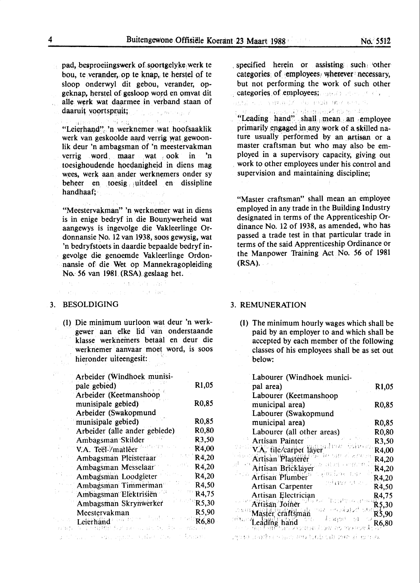pad, besproeiingswerk of soortgelyke werk te bou, te verander, op te knap, te herstel of te sloop onderwyl dit gebou, verander, opgeknap, herstel of gesloop word en omvat dit alle werk wat daarmee in verband staan of daaruit voortspruit;

l i ,,. "Leierhand". 'n werknemer wat hoofsaaklik werk van geskoolde aard verrig wat gewoonlik deur 'n ambagsman of 'n meestervakman verrig word, maar wat ook in 'n toesighoudende hoedanigheid in diens mag wees, werk aan ander werknemers onder sy beheer en\_ toesig , uitdeel en dissipline handhaaf; -  $\label{eq:1} \mathcal{L}_{\text{max}} = \mathcal{L}_{\text{max}} + \mathcal{L}_{\text{max}} \mathcal{L}_{\text{max}}$ 

"Meestervakman" 'n werknemer wat in diens is in enige bedryf in die Bounywerheid wat aangewys is ingevolge die Vakleerlinge Ordonnansie No. 12 van 1938, soos gewysig, wat 'n bedryfstoets in daardie bepaalde bedryf ingevolge die genoemde Vakleerlinge Ordonnansie of die Wet op Mannekragopleiding No. 56 van 1981 (RSA) geslaag het.

a constitution of a service constant with constitu-

to day a service and the state fire

The Hey We

# 3. BESOLDIGING

(1) Die minimum uurloon wat deur 'n werkgewer aan elke lid van onderstaande klasse werknemers betaal en deur die werknemer aanvaar moet word, is soos hieronder uiteengesit:

| Arbeider (Windhoek munisi-    |       |
|-------------------------------|-------|
| pale gebied)                  | R1,05 |
| Arbeider (Keetmanshoop        |       |
| munisipale gebied)            | R0,85 |
| Arbeider (Swakopmund          |       |
| munisipale gebied)            | R0,85 |
| Arbeider (alle ander gebiede) | R0,80 |
| Ambagsman Skilder             | R3,50 |
| V.A. Teël-/matlêer            | R4,00 |
| Ambagsman Pleisteraar         | R4,20 |
| Ambagsman Messelaar           | R4,20 |
| Ambagsman Loodgleter          | R4,20 |
| Ambagsman Timmerman           | R4,50 |
| Ambagsman Elektrisien         | R4,75 |
| Ambagsman Skrynwerker         | R5,30 |
| Meestervakman                 | R5,90 |
| Leierhand                     | R6,80 |
|                               |       |

od ni nasovo koja spalno kolika Vika o Sharakov

. specified herein or assisting such other categories: of  $:$ employees, wherever: necessary, but not performing the work of such other categories of employees;  $\Box$ STRAIN NEWSFILM ON THE REPORT OF A RAIL

, and consequently separate  $\mathbb{R}^n$  as for the

"Leading hand" shall mean an employee primarily engaged in any work of a skilled nature usually performed by an artisan or a master craftsman but who may also be employed in a supervisory capacity, giving out . work to other employees under his control and supervision and maintaining discipline;

"Master craftsman" shall mean an employee employed in any trade in the Building Industry designated in terms of the Apprenticeship Ordinance No. 12 of 1938, as amended, who has passed a trade test in that particular trade in terms of the said Apprenticeship Ordinance or the. Manpower Training Act No. 56 of 1981 **{RSA).** 

 $\sim 10^{11}$  km  $^{-1}$ 

**Sadan** 

# 3. **REMUNERATION**

 $\sim$ 

(1) The minimum hourly wages which shall be paid by an employer to and which shall be accepted by each member of the following classes of his employees shall be as set out below:

| Labourer (Windhoek munici-                          |                    |
|-----------------------------------------------------|--------------------|
| pal area)                                           | R1,05              |
| Labourer (Keetmanshoop                              |                    |
| municipal area)                                     | R <sub>0</sub> ,85 |
| Labourer (Swakopmund                                |                    |
| municipal area)                                     | R <sub>0</sub> ,85 |
| Labourer (all other areas)                          | R0,80              |
| Artisan Painter                                     | R3,50              |
| V.A. tile/carpet layer                              | R4,00              |
| 30-879039<br>Artisan Plasterer                      | R4,20              |
| 计任じ中<br>Artisan Bricklayer                          | R4,20              |
| ませばなつる もると<br><b>Artisan Plumber</b>                | R4,20              |
| ndaan oo c<br><b>Artisan Carpenter</b>              | R4,50              |
| Artisan Electrician                                 | R4,75              |
| Tacart<br>Tacart<br>Artisan Joiner                  | $R$ 5,30           |
| 사직 2월 2월 27년<br>Master craftsman                    | R3,90              |
| ਵੰਤ ਸਭਨਾਾਂ<br>∴N<br>Leading hand<br>LINE RO TROPAGE | R6,80              |

- 1901) santa camara bob cib mo si imes.